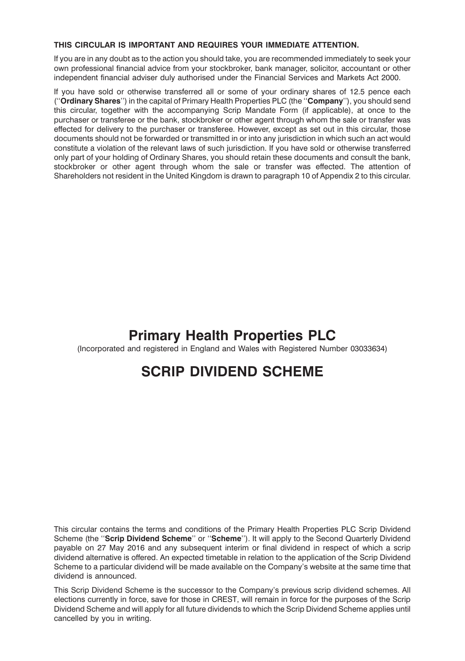## **THIS CIRCULAR IS IMPORTANT AND REQUIRES YOUR IMMEDIATE ATTENTION.**

If you are in any doubt as to the action you should take, you are recommended immediately to seek your own professional financial advice from your stockbroker, bank manager, solicitor, accountant or other independent financial adviser duly authorised under the Financial Services and Markets Act 2000.

If you have sold or otherwise transferred all or some of your ordinary shares of 12.5 pence each (''**Ordinary Shares**'') in the capital of Primary Health Properties PLC (the ''**Company**''), you should send this circular, together with the accompanying Scrip Mandate Form (if applicable), at once to the purchaser or transferee or the bank, stockbroker or other agent through whom the sale or transfer was effected for delivery to the purchaser or transferee. However, except as set out in this circular, those documents should not be forwarded or transmitted in or into any jurisdiction in which such an act would constitute a violation of the relevant laws of such jurisdiction. If you have sold or otherwise transferred only part of your holding of Ordinary Shares, you should retain these documents and consult the bank, stockbroker or other agent through whom the sale or transfer was effected. The attention of Shareholders not resident in the United Kingdom is drawn to paragraph 10 of Appendix 2 to this circular.

# **Primary Health Properties PLC**

(Incorporated and registered in England and Wales with Registered Number 03033634)

# **SCRIP DIVIDEND SCHEME**

This circular contains the terms and conditions of the Primary Health Properties PLC Scrip Dividend Scheme (the ''**Scrip Dividend Scheme**'' or ''**Scheme**''). It will apply to the Second Quarterly Dividend payable on 27 May 2016 and any subsequent interim or final dividend in respect of which a scrip dividend alternative is offered. An expected timetable in relation to the application of the Scrip Dividend Scheme to a particular dividend will be made available on the Company's website at the same time that dividend is announced.

This Scrip Dividend Scheme is the successor to the Company's previous scrip dividend schemes. All elections currently in force, save for those in CREST, will remain in force for the purposes of the Scrip Dividend Scheme and will apply for all future dividends to which the Scrip Dividend Scheme applies until cancelled by you in writing.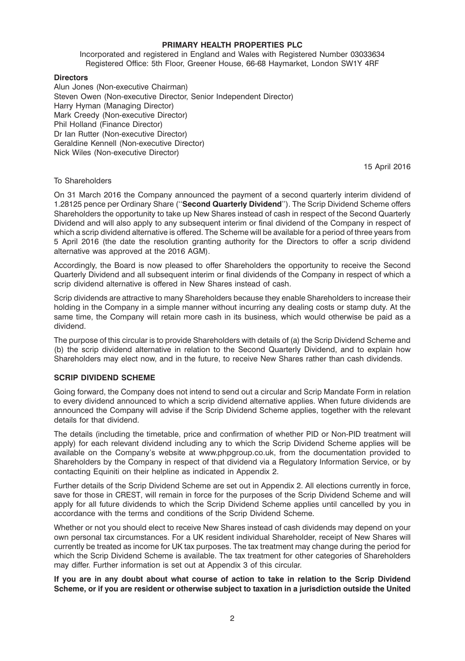#### **PRIMARY HEALTH PROPERTIES PLC**

Incorporated and registered in England and Wales with Registered Number 03033634 Registered Office: 5th Floor, Greener House, 66-68 Haymarket, London SW1Y 4RF

#### **Directors**

Alun Jones (Non-executive Chairman) Steven Owen (Non-executive Director, Senior Independent Director) Harry Hyman (Managing Director) Mark Creedy (Non-executive Director) Phil Holland (Finance Director) Dr Ian Rutter (Non-executive Director) Geraldine Kennell (Non-executive Director) Nick Wiles (Non-executive Director)

15 April 2016

#### To Shareholders

On 31 March 2016 the Company announced the payment of a second quarterly interim dividend of 1.28125 pence per Ordinary Share (''**Second Quarterly Dividend**''). The Scrip Dividend Scheme offers Shareholders the opportunity to take up New Shares instead of cash in respect of the Second Quarterly Dividend and will also apply to any subsequent interim or final dividend of the Company in respect of which a scrip dividend alternative is offered. The Scheme will be available for a period of three years from 5 April 2016 (the date the resolution granting authority for the Directors to offer a scrip dividend alternative was approved at the 2016 AGM).

Accordingly, the Board is now pleased to offer Shareholders the opportunity to receive the Second Quarterly Dividend and all subsequent interim or final dividends of the Company in respect of which a scrip dividend alternative is offered in New Shares instead of cash.

Scrip dividends are attractive to many Shareholders because they enable Shareholders to increase their holding in the Company in a simple manner without incurring any dealing costs or stamp duty. At the same time, the Company will retain more cash in its business, which would otherwise be paid as a dividend.

The purpose of this circular is to provide Shareholders with details of (a) the Scrip Dividend Scheme and (b) the scrip dividend alternative in relation to the Second Quarterly Dividend, and to explain how Shareholders may elect now, and in the future, to receive New Shares rather than cash dividends.

# **SCRIP DIVIDEND SCHEME**

Going forward, the Company does not intend to send out a circular and Scrip Mandate Form in relation to every dividend announced to which a scrip dividend alternative applies. When future dividends are announced the Company will advise if the Scrip Dividend Scheme applies, together with the relevant details for that dividend.

The details (including the timetable, price and confirmation of whether PID or Non-PID treatment will apply) for each relevant dividend including any to which the Scrip Dividend Scheme applies will be available on the Company's website at www.phpgroup.co.uk, from the documentation provided to Shareholders by the Company in respect of that dividend via a Regulatory Information Service, or by contacting Equiniti on their helpline as indicated in Appendix 2.

Further details of the Scrip Dividend Scheme are set out in Appendix 2. All elections currently in force, save for those in CREST, will remain in force for the purposes of the Scrip Dividend Scheme and will apply for all future dividends to which the Scrip Dividend Scheme applies until cancelled by you in accordance with the terms and conditions of the Scrip Dividend Scheme.

Whether or not you should elect to receive New Shares instead of cash dividends may depend on your own personal tax circumstances. For a UK resident individual Shareholder, receipt of New Shares will currently be treated as income for UK tax purposes. The tax treatment may change during the period for which the Scrip Dividend Scheme is available. The tax treatment for other categories of Shareholders may differ. Further information is set out at Appendix 3 of this circular.

**If you are in any doubt about what course of action to take in relation to the Scrip Dividend Scheme, or if you are resident or otherwise subject to taxation in a jurisdiction outside the United**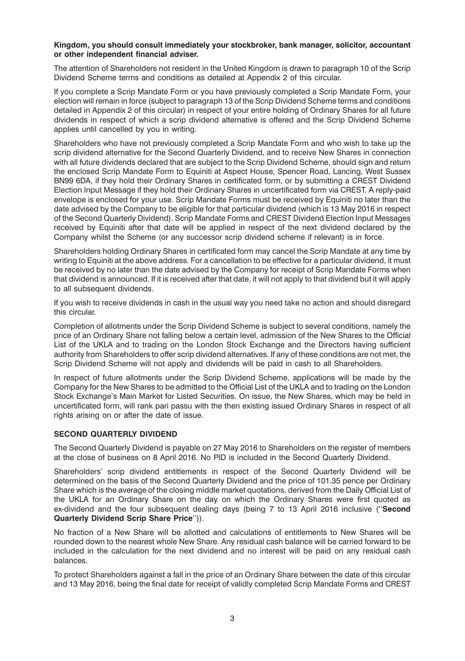#### **Kingdom, you should consult immediately your stockbroker, bank manager, solicitor, accountant or other independent financial adviser.**

The attention of Shareholders not resident in the United Kingdom is drawn to paragraph 10 of the Scrip Dividend Scheme terms and conditions as detailed at Appendix 2 of this circular.

If you complete a Scrip Mandate Form or you have previously completed a Scrip Mandate Form, your election will remain in force (subject to paragraph 13 of the Scrip Dividend Scheme terms and conditions detailed in Appendix 2 of this circular) in respect of your entire holding of Ordinary Shares for all future dividends in respect of which a scrip dividend alternative is offered and the Scrip Dividend Scheme applies until cancelled by you in writing.

Shareholders who have not previously completed a Scrip Mandate Form and who wish to take up the scrip dividend alternative for the Second Quarterly Dividend, and to receive New Shares in connection with all future dividends declared that are subject to the Scrip Dividend Scheme, should sign and return the enclosed Scrip Mandate Form to Equiniti at Aspect House, Spencer Road, Lancing, West Sussex BN99 6DA, if they hold their Ordinary Shares in certificated form, or by submitting a CREST Dividend Election Input Message if they hold their Ordinary Shares in uncertificated form via CREST. A reply-paid envelope is enclosed for your use. Scrip Mandate Forms must be received by Equiniti no later than the date advised by the Company to be eligible for that particular dividend (which is 13 May 2016 in respect of the Second Quarterly Dividend). Scrip Mandate Forms and CREST Dividend Election Input Messages received by Equiniti after that date will be applied in respect of the next dividend declared by the Company whilst the Scheme (or any successor scrip dividend scheme if relevant) is in force.

Shareholders holding Ordinary Shares in certificated form may cancel the Scrip Mandate at any time by writing to Equiniti at the above address. For a cancellation to be effective for a particular dividend, it must be received by no later than the date advised by the Company for receipt of Scrip Mandate Forms when that dividend is announced. If it is received after that date, it will not apply to that dividend but it will apply to all subsequent dividends.

If you wish to receive dividends in cash in the usual way you need take no action and should disregard this circular.

Completion of allotments under the Scrip Dividend Scheme is subject to several conditions, namely the price of an Ordinary Share not falling below a certain level, admission of the New Shares to the Official List of the UKLA and to trading on the London Stock Exchange and the Directors having sufficient authority from Shareholders to offer scrip dividend alternatives. If any of these conditions are not met, the Scrip Dividend Scheme will not apply and dividends will be paid in cash to all Shareholders.

In respect of future allotments under the Scrip Dividend Scheme, applications will be made by the Company for the New Shares to be admitted to the Official List of the UKLA and to trading on the London Stock Exchange's Main Market for Listed Securities. On issue, the New Shares, which may be held in uncertificated form, will rank pari passu with the then existing issued Ordinary Shares in respect of all rights arising on or after the date of issue.

# **SECOND QUARTERLY DIVIDEND**

The Second Quarterly Dividend is payable on 27 May 2016 to Shareholders on the register of members at the close of business on 8 April 2016. No PID is included in the Second Quarterly Dividend.

Shareholders' scrip dividend entitlements in respect of the Second Quarterly Dividend will be determined on the basis of the Second Quarterly Dividend and the price of 101.35 pence per Ordinary Share which is the average of the closing middle market quotations, derived from the Daily Official List of the UKLA for an Ordinary Share on the day on which the Ordinary Shares were first quoted as ex-dividend and the four subsequent dealing days (being 7 to 13 April 2016 inclusive (''**Second Quarterly Dividend Scrip Share Price**'')).

No fraction of a New Share will be allotted and calculations of entitlements to New Shares will be rounded down to the nearest whole New Share. Any residual cash balance will be carried forward to be included in the calculation for the next dividend and no interest will be paid on any residual cash balances.

To protect Shareholders against a fall in the price of an Ordinary Share between the date of this circular and 13 May 2016, being the final date for receipt of validly completed Scrip Mandate Forms and CREST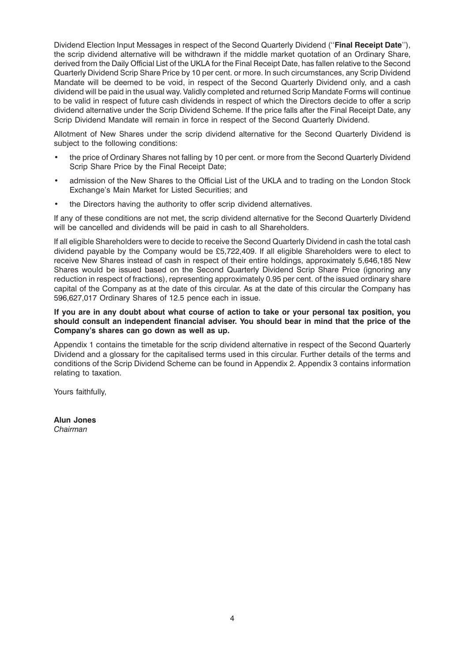Dividend Election Input Messages in respect of the Second Quarterly Dividend (''**Final Receipt Date**''), the scrip dividend alternative will be withdrawn if the middle market quotation of an Ordinary Share, derived from the Daily Official List of the UKLA for the Final Receipt Date, has fallen relative to the Second Quarterly Dividend Scrip Share Price by 10 per cent. or more. In such circumstances, any Scrip Dividend Mandate will be deemed to be void, in respect of the Second Quarterly Dividend only, and a cash dividend will be paid in the usual way. Validly completed and returned Scrip Mandate Forms will continue to be valid in respect of future cash dividends in respect of which the Directors decide to offer a scrip dividend alternative under the Scrip Dividend Scheme. If the price falls after the Final Receipt Date, any Scrip Dividend Mandate will remain in force in respect of the Second Quarterly Dividend.

Allotment of New Shares under the scrip dividend alternative for the Second Quarterly Dividend is subject to the following conditions:

- the price of Ordinary Shares not falling by 10 per cent. or more from the Second Quarterly Dividend Scrip Share Price by the Final Receipt Date;
- admission of the New Shares to the Official List of the UKLA and to trading on the London Stock Exchange's Main Market for Listed Securities; and
- the Directors having the authority to offer scrip dividend alternatives.

If any of these conditions are not met, the scrip dividend alternative for the Second Quarterly Dividend will be cancelled and dividends will be paid in cash to all Shareholders.

If all eligible Shareholders were to decide to receive the Second Quarterly Dividend in cash the total cash dividend payable by the Company would be £5,722,409. If all eligible Shareholders were to elect to receive New Shares instead of cash in respect of their entire holdings, approximately 5,646,185 New Shares would be issued based on the Second Quarterly Dividend Scrip Share Price (ignoring any reduction in respect of fractions), representing approximately 0.95 per cent. of the issued ordinary share capital of the Company as at the date of this circular. As at the date of this circular the Company has 596,627,017 Ordinary Shares of 12.5 pence each in issue.

**If you are in any doubt about what course of action to take or your personal tax position, you should consult an independent financial adviser. You should bear in mind that the price of the Company's shares can go down as well as up.**

Appendix 1 contains the timetable for the scrip dividend alternative in respect of the Second Quarterly Dividend and a glossary for the capitalised terms used in this circular. Further details of the terms and conditions of the Scrip Dividend Scheme can be found in Appendix 2. Appendix 3 contains information relating to taxation.

Yours faithfully,

**Alun Jones** *Chairman*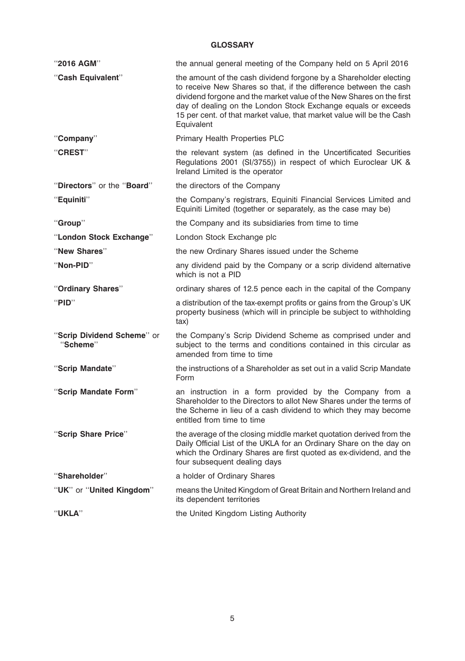# **GLOSSARY**

| "2016 AGM"                             | the annual general meeting of the Company held on 5 April 2016                                                                                                                                                                                                                                                                                                         |
|----------------------------------------|------------------------------------------------------------------------------------------------------------------------------------------------------------------------------------------------------------------------------------------------------------------------------------------------------------------------------------------------------------------------|
| "Cash Equivalent"                      | the amount of the cash dividend forgone by a Shareholder electing<br>to receive New Shares so that, if the difference between the cash<br>dividend forgone and the market value of the New Shares on the first<br>day of dealing on the London Stock Exchange equals or exceeds<br>15 per cent. of that market value, that market value will be the Cash<br>Equivalent |
| "Company"                              | Primary Health Properties PLC                                                                                                                                                                                                                                                                                                                                          |
| "CREST"                                | the relevant system (as defined in the Uncertificated Securities<br>Regulations 2001 (SI/3755)) in respect of which Euroclear UK &<br>Ireland Limited is the operator                                                                                                                                                                                                  |
| "Directors" or the "Board"             | the directors of the Company                                                                                                                                                                                                                                                                                                                                           |
| "Equiniti"                             | the Company's registrars, Equiniti Financial Services Limited and<br>Equiniti Limited (together or separately, as the case may be)                                                                                                                                                                                                                                     |
| "Group"                                | the Company and its subsidiaries from time to time                                                                                                                                                                                                                                                                                                                     |
| "London Stock Exchange"                | London Stock Exchange plc                                                                                                                                                                                                                                                                                                                                              |
| "New Shares"                           | the new Ordinary Shares issued under the Scheme                                                                                                                                                                                                                                                                                                                        |
| "Non-PID"                              | any dividend paid by the Company or a scrip dividend alternative<br>which is not a PID                                                                                                                                                                                                                                                                                 |
| "Ordinary Shares"                      | ordinary shares of 12.5 pence each in the capital of the Company                                                                                                                                                                                                                                                                                                       |
| "PID"                                  | a distribution of the tax-exempt profits or gains from the Group's UK<br>property business (which will in principle be subject to withholding<br>tax)                                                                                                                                                                                                                  |
| "Scrip Dividend Scheme" or<br>"Scheme" | the Company's Scrip Dividend Scheme as comprised under and<br>subject to the terms and conditions contained in this circular as<br>amended from time to time                                                                                                                                                                                                           |
| "Scrip Mandate"                        | the instructions of a Shareholder as set out in a valid Scrip Mandate<br>Form                                                                                                                                                                                                                                                                                          |
| "Scrip Mandate Form"                   | an instruction in a form provided by the Company from a<br>Shareholder to the Directors to allot New Shares under the terms of<br>the Scheme in lieu of a cash dividend to which they may become<br>entitled from time to time                                                                                                                                         |
| "Scrip Share Price"                    | the average of the closing middle market quotation derived from the<br>Daily Official List of the UKLA for an Ordinary Share on the day on<br>which the Ordinary Shares are first quoted as ex-dividend, and the<br>four subsequent dealing days                                                                                                                       |
| "Shareholder"                          | a holder of Ordinary Shares                                                                                                                                                                                                                                                                                                                                            |
| "UK" or "United Kingdom"               | means the United Kingdom of Great Britain and Northern Ireland and<br>its dependent territories                                                                                                                                                                                                                                                                        |
| "UKLA"                                 | the United Kingdom Listing Authority                                                                                                                                                                                                                                                                                                                                   |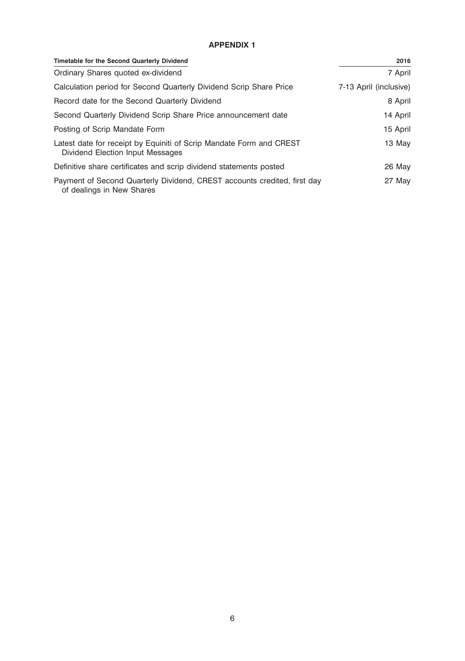# **APPENDIX 1**

| Timetable for the Second Quarterly Dividend                                                             | 2016                   |
|---------------------------------------------------------------------------------------------------------|------------------------|
| Ordinary Shares quoted ex-dividend                                                                      | 7 April                |
| Calculation period for Second Quarterly Dividend Scrip Share Price                                      | 7-13 April (inclusive) |
| Record date for the Second Quarterly Dividend                                                           | 8 April                |
| Second Quarterly Dividend Scrip Share Price announcement date                                           | 14 April               |
| Posting of Scrip Mandate Form                                                                           | 15 April               |
| Latest date for receipt by Equiniti of Scrip Mandate Form and CREST<br>Dividend Election Input Messages | 13 May                 |
| Definitive share certificates and scrip dividend statements posted                                      | 26 May                 |
| Payment of Second Quarterly Dividend, CREST accounts credited, first day<br>of dealings in New Shares   | 27 May                 |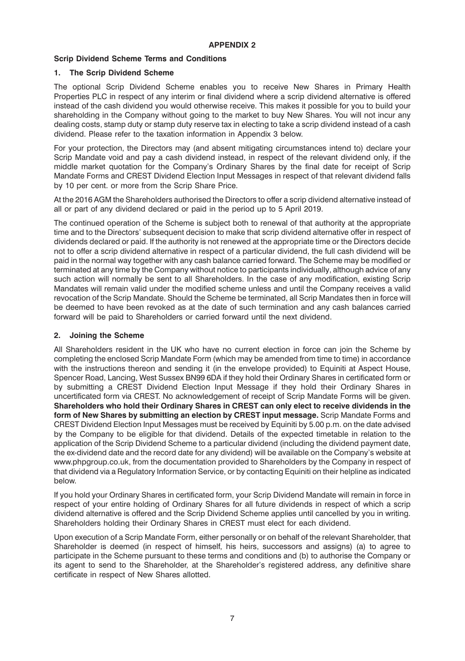# **Scrip Dividend Scheme Terms and Conditions**

## **1. The Scrip Dividend Scheme**

The optional Scrip Dividend Scheme enables you to receive New Shares in Primary Health Properties PLC in respect of any interim or final dividend where a scrip dividend alternative is offered instead of the cash dividend you would otherwise receive. This makes it possible for you to build your shareholding in the Company without going to the market to buy New Shares. You will not incur any dealing costs, stamp duty or stamp duty reserve tax in electing to take a scrip dividend instead of a cash dividend. Please refer to the taxation information in Appendix 3 below.

For your protection, the Directors may (and absent mitigating circumstances intend to) declare your Scrip Mandate void and pay a cash dividend instead, in respect of the relevant dividend only, if the middle market quotation for the Company's Ordinary Shares by the final date for receipt of Scrip Mandate Forms and CREST Dividend Election Input Messages in respect of that relevant dividend falls by 10 per cent. or more from the Scrip Share Price.

At the 2016 AGM the Shareholders authorised the Directors to offer a scrip dividend alternative instead of all or part of any dividend declared or paid in the period up to 5 April 2019.

The continued operation of the Scheme is subject both to renewal of that authority at the appropriate time and to the Directors' subsequent decision to make that scrip dividend alternative offer in respect of dividends declared or paid. If the authority is not renewed at the appropriate time or the Directors decide not to offer a scrip dividend alternative in respect of a particular dividend, the full cash dividend will be paid in the normal way together with any cash balance carried forward. The Scheme may be modified or terminated at any time by the Company without notice to participants individually, although advice of any such action will normally be sent to all Shareholders. In the case of any modification, existing Scrip Mandates will remain valid under the modified scheme unless and until the Company receives a valid revocation of the Scrip Mandate. Should the Scheme be terminated, all Scrip Mandates then in force will be deemed to have been revoked as at the date of such termination and any cash balances carried forward will be paid to Shareholders or carried forward until the next dividend.

## **2. Joining the Scheme**

All Shareholders resident in the UK who have no current election in force can join the Scheme by completing the enclosed Scrip Mandate Form (which may be amended from time to time) in accordance with the instructions thereon and sending it (in the envelope provided) to Equiniti at Aspect House, Spencer Road, Lancing, West Sussex BN99 6DA if they hold their Ordinary Shares in certificated form or by submitting a CREST Dividend Election Input Message if they hold their Ordinary Shares in uncertificated form via CREST. No acknowledgement of receipt of Scrip Mandate Forms will be given. **Shareholders who hold their Ordinary Shares in CREST can only elect to receive dividends in the form of New Shares by submitting an election by CREST input message.** Scrip Mandate Forms and CREST Dividend Election Input Messages must be received by Equiniti by 5.00 p.m. on the date advised by the Company to be eligible for that dividend. Details of the expected timetable in relation to the application of the Scrip Dividend Scheme to a particular dividend (including the dividend payment date, the ex-dividend date and the record date for any dividend) will be available on the Company's website at www.phpgroup.co.uk, from the documentation provided to Shareholders by the Company in respect of that dividend via a Regulatory Information Service, or by contacting Equiniti on their helpline as indicated below.

If you hold your Ordinary Shares in certificated form, your Scrip Dividend Mandate will remain in force in respect of your entire holding of Ordinary Shares for all future dividends in respect of which a scrip dividend alternative is offered and the Scrip Dividend Scheme applies until cancelled by you in writing. Shareholders holding their Ordinary Shares in CREST must elect for each dividend.

Upon execution of a Scrip Mandate Form, either personally or on behalf of the relevant Shareholder, that Shareholder is deemed (in respect of himself, his heirs, successors and assigns) (a) to agree to participate in the Scheme pursuant to these terms and conditions and (b) to authorise the Company or its agent to send to the Shareholder, at the Shareholder's registered address, any definitive share certificate in respect of New Shares allotted.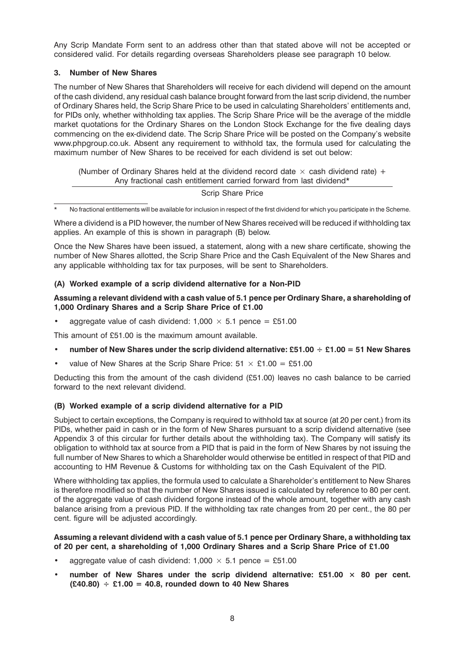Any Scrip Mandate Form sent to an address other than that stated above will not be accepted or considered valid. For details regarding overseas Shareholders please see paragraph 10 below.

## **3. Number of New Shares**

The number of New Shares that Shareholders will receive for each dividend will depend on the amount of the cash dividend, any residual cash balance brought forward from the last scrip dividend, the number of Ordinary Shares held, the Scrip Share Price to be used in calculating Shareholders' entitlements and, for PIDs only, whether withholding tax applies. The Scrip Share Price will be the average of the middle market quotations for the Ordinary Shares on the London Stock Exchange for the five dealing days commencing on the ex-dividend date. The Scrip Share Price will be posted on the Company's website www.phpgroup.co.uk. Absent any requirement to withhold tax, the formula used for calculating the maximum number of New Shares to be received for each dividend is set out below:

(Number of Ordinary Shares held at the dividend record date  $\times$  cash dividend rate) + Any fractional cash entitlement carried forward from last dividend\*

#### Scrip Share Price

No fractional entitlements will be available for inclusion in respect of the first dividend for which you participate in the Scheme.

Where a dividend is a PID however, the number of New Shares received will be reduced if withholding tax applies. An example of this is shown in paragraph (B) below.

Once the New Shares have been issued, a statement, along with a new share certificate, showing the number of New Shares allotted, the Scrip Share Price and the Cash Equivalent of the New Shares and any applicable withholding tax for tax purposes, will be sent to Shareholders.

## **(A) Worked example of a scrip dividend alternative for a Non-PID**

## **Assuming a relevant dividend with a cash value of 5.1 pence per Ordinary Share, a shareholding of 1,000 Ordinary Shares and a Scrip Share Price of £1.00**

aggregate value of cash dividend: 1,000  $\times$  5.1 pence = £51.00

This amount of £51.00 is the maximum amount available.

- **number of New Shares under the scrip dividend alternative: £51.00 £1.00 = 51 New Shares**
- value of New Shares at the Scrip Share Price:  $51 \times £1.00 = £51.00$

Deducting this from the amount of the cash dividend (£51.00) leaves no cash balance to be carried forward to the next relevant dividend.

# **(B) Worked example of a scrip dividend alternative for a PID**

Subject to certain exceptions, the Company is required to withhold tax at source (at 20 per cent.) from its PIDs, whether paid in cash or in the form of New Shares pursuant to a scrip dividend alternative (see Appendix 3 of this circular for further details about the withholding tax). The Company will satisfy its obligation to withhold tax at source from a PID that is paid in the form of New Shares by not issuing the full number of New Shares to which a Shareholder would otherwise be entitled in respect of that PID and accounting to HM Revenue & Customs for withholding tax on the Cash Equivalent of the PID.

Where withholding tax applies, the formula used to calculate a Shareholder's entitlement to New Shares is therefore modified so that the number of New Shares issued is calculated by reference to 80 per cent. of the aggregate value of cash dividend forgone instead of the whole amount, together with any cash balance arising from a previous PID. If the withholding tax rate changes from 20 per cent., the 80 per cent. figure will be adjusted accordingly.

#### **Assuming a relevant dividend with a cash value of 5.1 pence per Ordinary Share, a withholding tax of 20 per cent, a shareholding of 1,000 Ordinary Shares and a Scrip Share Price of £1.00**

- aggregate value of cash dividend:  $1,000 \times 5.1$  pence = £51.00
- number of New Shares under the scrip dividend alternative: £51.00  $\times$  80 per cent. **(£40.80) £1.00 = 40.8, rounded down to 40 New Shares**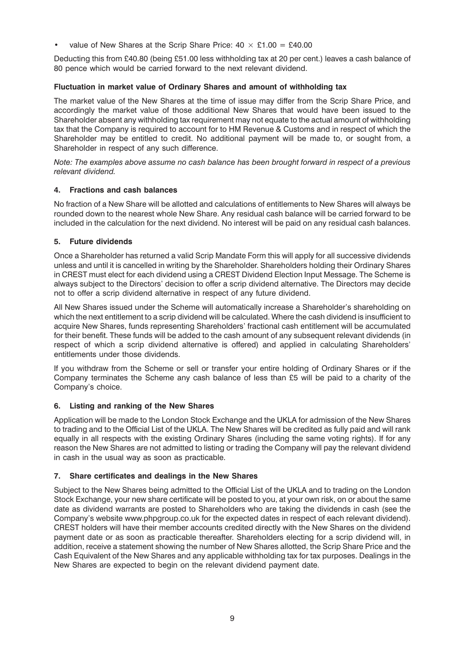value of New Shares at the Scrip Share Price:  $40 \times \text{\pounds}1.00 = \text{\pounds}40.00$ 

Deducting this from £40.80 (being £51.00 less withholding tax at 20 per cent.) leaves a cash balance of 80 pence which would be carried forward to the next relevant dividend.

## **Fluctuation in market value of Ordinary Shares and amount of withholding tax**

The market value of the New Shares at the time of issue may differ from the Scrip Share Price, and accordingly the market value of those additional New Shares that would have been issued to the Shareholder absent any withholding tax requirement may not equate to the actual amount of withholding tax that the Company is required to account for to HM Revenue & Customs and in respect of which the Shareholder may be entitled to credit. No additional payment will be made to, or sought from, a Shareholder in respect of any such difference.

*Note: The examples above assume no cash balance has been brought forward in respect of a previous relevant dividend.*

## **4. Fractions and cash balances**

No fraction of a New Share will be allotted and calculations of entitlements to New Shares will always be rounded down to the nearest whole New Share. Any residual cash balance will be carried forward to be included in the calculation for the next dividend. No interest will be paid on any residual cash balances.

## **5. Future dividends**

Once a Shareholder has returned a valid Scrip Mandate Form this will apply for all successive dividends unless and until it is cancelled in writing by the Shareholder. Shareholders holding their Ordinary Shares in CREST must elect for each dividend using a CREST Dividend Election Input Message. The Scheme is always subject to the Directors' decision to offer a scrip dividend alternative. The Directors may decide not to offer a scrip dividend alternative in respect of any future dividend.

All New Shares issued under the Scheme will automatically increase a Shareholder's shareholding on which the next entitlement to a scrip dividend will be calculated. Where the cash dividend is insufficient to acquire New Shares, funds representing Shareholders' fractional cash entitlement will be accumulated for their benefit. These funds will be added to the cash amount of any subsequent relevant dividends (in respect of which a scrip dividend alternative is offered) and applied in calculating Shareholders' entitlements under those dividends.

If you withdraw from the Scheme or sell or transfer your entire holding of Ordinary Shares or if the Company terminates the Scheme any cash balance of less than £5 will be paid to a charity of the Company's choice.

# **6. Listing and ranking of the New Shares**

Application will be made to the London Stock Exchange and the UKLA for admission of the New Shares to trading and to the Official List of the UKLA. The New Shares will be credited as fully paid and will rank equally in all respects with the existing Ordinary Shares (including the same voting rights). If for any reason the New Shares are not admitted to listing or trading the Company will pay the relevant dividend in cash in the usual way as soon as practicable.

# **7. Share certificates and dealings in the New Shares**

Subject to the New Shares being admitted to the Official List of the UKLA and to trading on the London Stock Exchange, your new share certificate will be posted to you, at your own risk, on or about the same date as dividend warrants are posted to Shareholders who are taking the dividends in cash (see the Company's website www.phpgroup.co.uk for the expected dates in respect of each relevant dividend). CREST holders will have their member accounts credited directly with the New Shares on the dividend payment date or as soon as practicable thereafter. Shareholders electing for a scrip dividend will, in addition, receive a statement showing the number of New Shares allotted, the Scrip Share Price and the Cash Equivalent of the New Shares and any applicable withholding tax for tax purposes. Dealings in the New Shares are expected to begin on the relevant dividend payment date.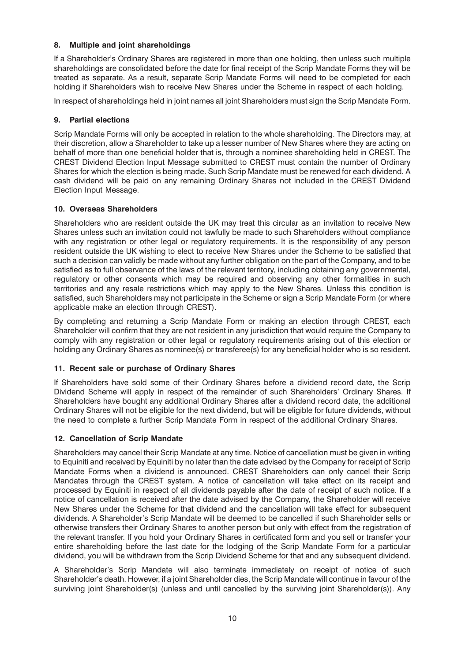# **8. Multiple and joint shareholdings**

If a Shareholder's Ordinary Shares are registered in more than one holding, then unless such multiple shareholdings are consolidated before the date for final receipt of the Scrip Mandate Forms they will be treated as separate. As a result, separate Scrip Mandate Forms will need to be completed for each holding if Shareholders wish to receive New Shares under the Scheme in respect of each holding.

In respect of shareholdings held in joint names all joint Shareholders must sign the Scrip Mandate Form.

# **9. Partial elections**

Scrip Mandate Forms will only be accepted in relation to the whole shareholding. The Directors may, at their discretion, allow a Shareholder to take up a lesser number of New Shares where they are acting on behalf of more than one beneficial holder that is, through a nominee shareholding held in CREST. The CREST Dividend Election Input Message submitted to CREST must contain the number of Ordinary Shares for which the election is being made. Such Scrip Mandate must be renewed for each dividend. A cash dividend will be paid on any remaining Ordinary Shares not included in the CREST Dividend Election Input Message.

# **10. Overseas Shareholders**

Shareholders who are resident outside the UK may treat this circular as an invitation to receive New Shares unless such an invitation could not lawfully be made to such Shareholders without compliance with any registration or other legal or regulatory requirements. It is the responsibility of any person resident outside the UK wishing to elect to receive New Shares under the Scheme to be satisfied that such a decision can validly be made without any further obligation on the part of the Company, and to be satisfied as to full observance of the laws of the relevant territory, including obtaining any governmental, regulatory or other consents which may be required and observing any other formalities in such territories and any resale restrictions which may apply to the New Shares. Unless this condition is satisfied, such Shareholders may not participate in the Scheme or sign a Scrip Mandate Form (or where applicable make an election through CREST).

By completing and returning a Scrip Mandate Form or making an election through CREST, each Shareholder will confirm that they are not resident in any jurisdiction that would require the Company to comply with any registration or other legal or regulatory requirements arising out of this election or holding any Ordinary Shares as nominee(s) or transferee(s) for any beneficial holder who is so resident.

# **11. Recent sale or purchase of Ordinary Shares**

If Shareholders have sold some of their Ordinary Shares before a dividend record date, the Scrip Dividend Scheme will apply in respect of the remainder of such Shareholders' Ordinary Shares. If Shareholders have bought any additional Ordinary Shares after a dividend record date, the additional Ordinary Shares will not be eligible for the next dividend, but will be eligible for future dividends, without the need to complete a further Scrip Mandate Form in respect of the additional Ordinary Shares.

# **12. Cancellation of Scrip Mandate**

Shareholders may cancel their Scrip Mandate at any time. Notice of cancellation must be given in writing to Equiniti and received by Equiniti by no later than the date advised by the Company for receipt of Scrip Mandate Forms when a dividend is announced. CREST Shareholders can only cancel their Scrip Mandates through the CREST system. A notice of cancellation will take effect on its receipt and processed by Equiniti in respect of all dividends payable after the date of receipt of such notice. If a notice of cancellation is received after the date advised by the Company, the Shareholder will receive New Shares under the Scheme for that dividend and the cancellation will take effect for subsequent dividends. A Shareholder's Scrip Mandate will be deemed to be cancelled if such Shareholder sells or otherwise transfers their Ordinary Shares to another person but only with effect from the registration of the relevant transfer. If you hold your Ordinary Shares in certificated form and you sell or transfer your entire shareholding before the last date for the lodging of the Scrip Mandate Form for a particular dividend, you will be withdrawn from the Scrip Dividend Scheme for that and any subsequent dividend.

A Shareholder's Scrip Mandate will also terminate immediately on receipt of notice of such Shareholder's death. However, if a joint Shareholder dies, the Scrip Mandate will continue in favour of the surviving joint Shareholder(s) (unless and until cancelled by the surviving joint Shareholder(s)). Any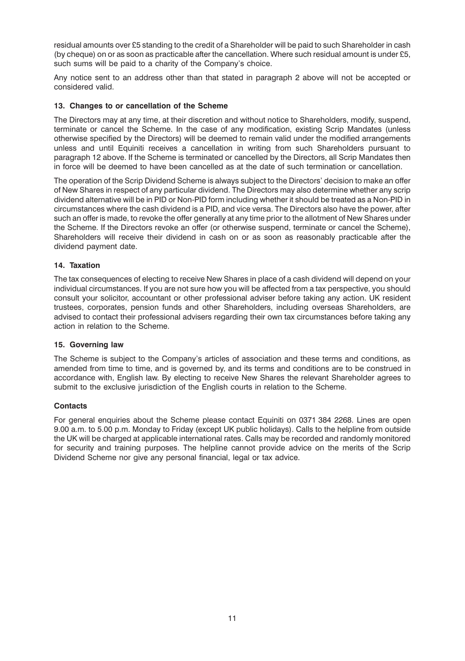residual amounts over £5 standing to the credit of a Shareholder will be paid to such Shareholder in cash (by cheque) on or as soon as practicable after the cancellation. Where such residual amount is under £5, such sums will be paid to a charity of the Company's choice.

Any notice sent to an address other than that stated in paragraph 2 above will not be accepted or considered valid.

## **13. Changes to or cancellation of the Scheme**

The Directors may at any time, at their discretion and without notice to Shareholders, modify, suspend, terminate or cancel the Scheme. In the case of any modification, existing Scrip Mandates (unless otherwise specified by the Directors) will be deemed to remain valid under the modified arrangements unless and until Equiniti receives a cancellation in writing from such Shareholders pursuant to paragraph 12 above. If the Scheme is terminated or cancelled by the Directors, all Scrip Mandates then in force will be deemed to have been cancelled as at the date of such termination or cancellation.

The operation of the Scrip Dividend Scheme is always subject to the Directors' decision to make an offer of New Shares in respect of any particular dividend. The Directors may also determine whether any scrip dividend alternative will be in PID or Non-PID form including whether it should be treated as a Non-PID in circumstances where the cash dividend is a PID, and vice versa. The Directors also have the power, after such an offer is made, to revoke the offer generally at any time prior to the allotment of New Shares under the Scheme. If the Directors revoke an offer (or otherwise suspend, terminate or cancel the Scheme), Shareholders will receive their dividend in cash on or as soon as reasonably practicable after the dividend payment date.

## **14. Taxation**

The tax consequences of electing to receive New Shares in place of a cash dividend will depend on your individual circumstances. If you are not sure how you will be affected from a tax perspective, you should consult your solicitor, accountant or other professional adviser before taking any action. UK resident trustees, corporates, pension funds and other Shareholders, including overseas Shareholders, are advised to contact their professional advisers regarding their own tax circumstances before taking any action in relation to the Scheme.

#### **15. Governing law**

The Scheme is subject to the Company's articles of association and these terms and conditions, as amended from time to time, and is governed by, and its terms and conditions are to be construed in accordance with, English law. By electing to receive New Shares the relevant Shareholder agrees to submit to the exclusive jurisdiction of the English courts in relation to the Scheme.

# **Contacts**

For general enquiries about the Scheme please contact Equiniti on 0371 384 2268. Lines are open 9.00 a.m. to 5.00 p.m. Monday to Friday (except UK public holidays). Calls to the helpline from outside the UK will be charged at applicable international rates. Calls may be recorded and randomly monitored for security and training purposes. The helpline cannot provide advice on the merits of the Scrip Dividend Scheme nor give any personal financial, legal or tax advice.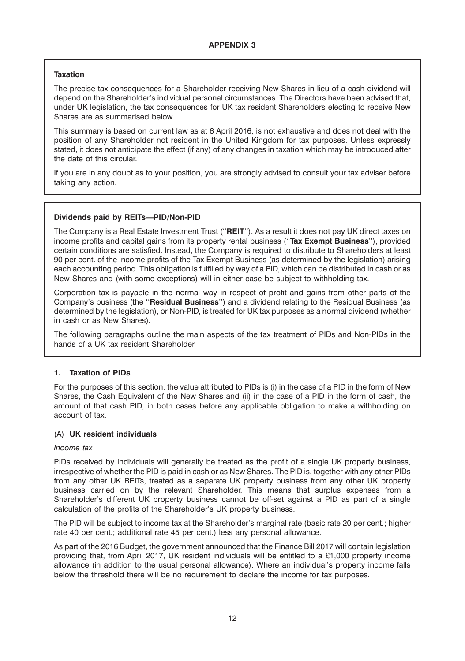# **Taxation**

The precise tax consequences for a Shareholder receiving New Shares in lieu of a cash dividend will depend on the Shareholder's individual personal circumstances. The Directors have been advised that, under UK legislation, the tax consequences for UK tax resident Shareholders electing to receive New Shares are as summarised below.

This summary is based on current law as at 6 April 2016, is not exhaustive and does not deal with the position of any Shareholder not resident in the United Kingdom for tax purposes. Unless expressly stated, it does not anticipate the effect (if any) of any changes in taxation which may be introduced after the date of this circular.

If you are in any doubt as to your position, you are strongly advised to consult your tax adviser before taking any action.

# **Dividends paid by REITs—PID/Non-PID**

The Company is a Real Estate Investment Trust (''**REIT**''). As a result it does not pay UK direct taxes on income profits and capital gains from its property rental business (''**Tax Exempt Business**''), provided certain conditions are satisfied. Instead, the Company is required to distribute to Shareholders at least 90 per cent. of the income profits of the Tax-Exempt Business (as determined by the legislation) arising each accounting period. This obligation is fulfilled by way of a PID, which can be distributed in cash or as New Shares and (with some exceptions) will in either case be subject to withholding tax.

Corporation tax is payable in the normal way in respect of profit and gains from other parts of the Company's business (the ''**Residual Business**'') and a dividend relating to the Residual Business (as determined by the legislation), or Non-PID, is treated for UK tax purposes as a normal dividend (whether in cash or as New Shares).

The following paragraphs outline the main aspects of the tax treatment of PIDs and Non-PIDs in the hands of a UK tax resident Shareholder.

# **1. Taxation of PIDs**

For the purposes of this section, the value attributed to PIDs is (i) in the case of a PID in the form of New Shares, the Cash Equivalent of the New Shares and (ii) in the case of a PID in the form of cash, the amount of that cash PID, in both cases before any applicable obligation to make a withholding on account of tax.

# (A) **UK resident individuals**

# *Income tax*

PIDs received by individuals will generally be treated as the profit of a single UK property business, irrespective of whether the PID is paid in cash or as New Shares. The PID is, together with any other PIDs from any other UK REITs, treated as a separate UK property business from any other UK property business carried on by the relevant Shareholder. This means that surplus expenses from a Shareholder's different UK property business cannot be off-set against a PID as part of a single calculation of the profits of the Shareholder's UK property business.

The PID will be subject to income tax at the Shareholder's marginal rate (basic rate 20 per cent.; higher rate 40 per cent.; additional rate 45 per cent.) less any personal allowance.

As part of the 2016 Budget, the government announced that the Finance Bill 2017 will contain legislation providing that, from April 2017, UK resident individuals will be entitled to a £1,000 property income allowance (in addition to the usual personal allowance). Where an individual's property income falls below the threshold there will be no requirement to declare the income for tax purposes.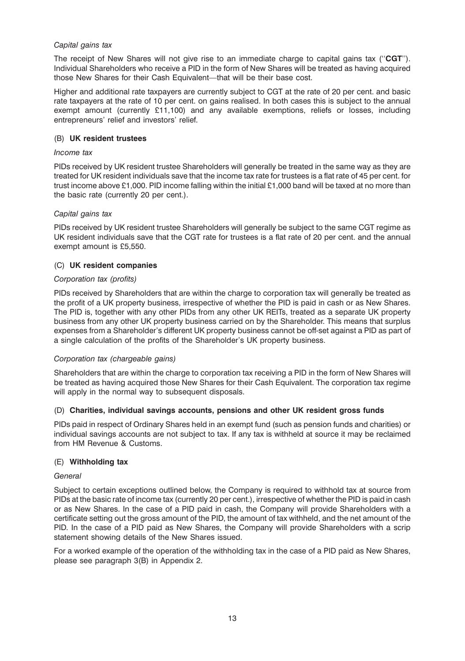## *Capital gains tax*

The receipt of New Shares will not give rise to an immediate charge to capital gains tax (''**CGT**''). Individual Shareholders who receive a PID in the form of New Shares will be treated as having acquired those New Shares for their Cash Equivalent—that will be their base cost.

Higher and additional rate taxpayers are currently subject to CGT at the rate of 20 per cent. and basic rate taxpayers at the rate of 10 per cent. on gains realised. In both cases this is subject to the annual exempt amount (currently £11,100) and any available exemptions, reliefs or losses, including entrepreneurs' relief and investors' relief.

## (B) **UK resident trustees**

## *Income tax*

PIDs received by UK resident trustee Shareholders will generally be treated in the same way as they are treated for UK resident individuals save that the income tax rate for trustees is a flat rate of 45 per cent. for trust income above £1,000. PID income falling within the initial £1,000 band will be taxed at no more than the basic rate (currently 20 per cent.).

## *Capital gains tax*

PIDs received by UK resident trustee Shareholders will generally be subject to the same CGT regime as UK resident individuals save that the CGT rate for trustees is a flat rate of 20 per cent. and the annual exempt amount is £5,550.

# (C) **UK resident companies**

## *Corporation tax (profits)*

PIDs received by Shareholders that are within the charge to corporation tax will generally be treated as the profit of a UK property business, irrespective of whether the PID is paid in cash or as New Shares. The PID is, together with any other PIDs from any other UK REITs, treated as a separate UK property business from any other UK property business carried on by the Shareholder. This means that surplus expenses from a Shareholder's different UK property business cannot be off-set against a PID as part of a single calculation of the profits of the Shareholder's UK property business.

# *Corporation tax (chargeable gains)*

Shareholders that are within the charge to corporation tax receiving a PID in the form of New Shares will be treated as having acquired those New Shares for their Cash Equivalent. The corporation tax regime will apply in the normal way to subsequent disposals.

# (D) **Charities, individual savings accounts, pensions and other UK resident gross funds**

PIDs paid in respect of Ordinary Shares held in an exempt fund (such as pension funds and charities) or individual savings accounts are not subject to tax. If any tax is withheld at source it may be reclaimed from HM Revenue & Customs.

# (E) **Withholding tax**

#### *General*

Subject to certain exceptions outlined below, the Company is required to withhold tax at source from PIDs at the basic rate of income tax (currently 20 per cent.), irrespective of whether the PID is paid in cash or as New Shares. In the case of a PID paid in cash, the Company will provide Shareholders with a certificate setting out the gross amount of the PID, the amount of tax withheld, and the net amount of the PID. In the case of a PID paid as New Shares, the Company will provide Shareholders with a scrip statement showing details of the New Shares issued.

For a worked example of the operation of the withholding tax in the case of a PID paid as New Shares, please see paragraph 3(B) in Appendix 2.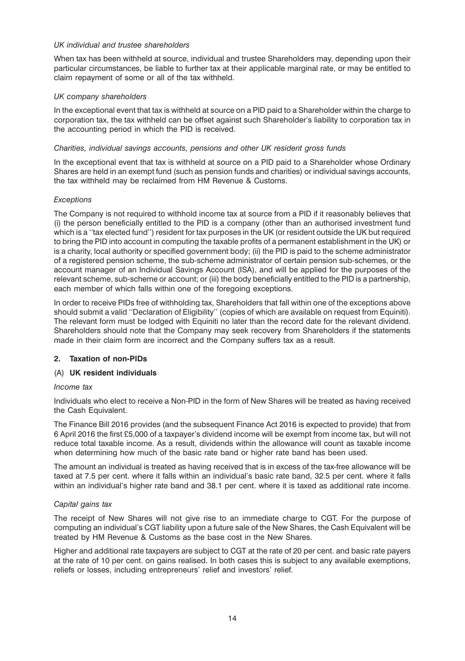## *UK individual and trustee shareholders*

When tax has been withheld at source, individual and trustee Shareholders may, depending upon their particular circumstances, be liable to further tax at their applicable marginal rate, or may be entitled to claim repayment of some or all of the tax withheld.

## *UK company shareholders*

In the exceptional event that tax is withheld at source on a PID paid to a Shareholder within the charge to corporation tax, the tax withheld can be offset against such Shareholder's liability to corporation tax in the accounting period in which the PID is received.

## *Charities, individual savings accounts, pensions and other UK resident gross funds*

In the exceptional event that tax is withheld at source on a PID paid to a Shareholder whose Ordinary Shares are held in an exempt fund (such as pension funds and charities) or individual savings accounts, the tax withheld may be reclaimed from HM Revenue & Customs.

## *Exceptions*

The Company is not required to withhold income tax at source from a PID if it reasonably believes that (i) the person beneficially entitled to the PID is a company (other than an authorised investment fund which is a ''tax elected fund'') resident for tax purposes in the UK (or resident outside the UK but required to bring the PID into account in computing the taxable profits of a permanent establishment in the UK) or is a charity, local authority or specified government body; (ii) the PID is paid to the scheme administrator of a registered pension scheme, the sub-scheme administrator of certain pension sub-schemes, or the account manager of an Individual Savings Account (ISA), and will be applied for the purposes of the relevant scheme, sub-scheme or account; or (iii) the body beneficially entitled to the PID is a partnership, each member of which falls within one of the foregoing exceptions.

In order to receive PIDs free of withholding tax, Shareholders that fall within one of the exceptions above should submit a valid ''Declaration of Eligibility'' (copies of which are available on request from Equiniti). The relevant form must be lodged with Equiniti no later than the record date for the relevant dividend. Shareholders should note that the Company may seek recovery from Shareholders if the statements made in their claim form are incorrect and the Company suffers tax as a result.

# **2. Taxation of non-PIDs**

# (A) **UK resident individuals**

#### *Income tax*

Individuals who elect to receive a Non-PID in the form of New Shares will be treated as having received the Cash Equivalent.

The Finance Bill 2016 provides (and the subsequent Finance Act 2016 is expected to provide) that from 6 April 2016 the first £5,000 of a taxpayer's dividend income will be exempt from income tax, but will not reduce total taxable income. As a result, dividends within the allowance will count as taxable income when determining how much of the basic rate band or higher rate band has been used.

The amount an individual is treated as having received that is in excess of the tax-free allowance will be taxed at 7.5 per cent. where it falls within an individual's basic rate band, 32.5 per cent. where it falls within an individual's higher rate band and 38.1 per cent. where it is taxed as additional rate income.

#### *Capital gains tax*

The receipt of New Shares will not give rise to an immediate charge to CGT. For the purpose of computing an individual's CGT liability upon a future sale of the New Shares, the Cash Equivalent will be treated by HM Revenue & Customs as the base cost in the New Shares.

Higher and additional rate taxpayers are subject to CGT at the rate of 20 per cent. and basic rate payers at the rate of 10 per cent. on gains realised. In both cases this is subject to any available exemptions, reliefs or losses, including entrepreneurs' relief and investors' relief.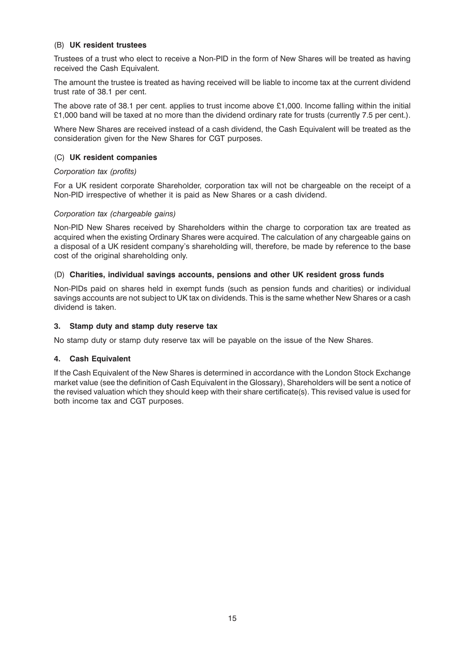## (B) **UK resident trustees**

Trustees of a trust who elect to receive a Non-PID in the form of New Shares will be treated as having received the Cash Equivalent.

The amount the trustee is treated as having received will be liable to income tax at the current dividend trust rate of 38.1 per cent.

The above rate of 38.1 per cent. applies to trust income above £1,000. Income falling within the initial £1,000 band will be taxed at no more than the dividend ordinary rate for trusts (currently 7.5 per cent.).

Where New Shares are received instead of a cash dividend, the Cash Equivalent will be treated as the consideration given for the New Shares for CGT purposes.

# (C) **UK resident companies**

#### *Corporation tax (profits)*

For a UK resident corporate Shareholder, corporation tax will not be chargeable on the receipt of a Non-PID irrespective of whether it is paid as New Shares or a cash dividend.

#### *Corporation tax (chargeable gains)*

Non-PID New Shares received by Shareholders within the charge to corporation tax are treated as acquired when the existing Ordinary Shares were acquired. The calculation of any chargeable gains on a disposal of a UK resident company's shareholding will, therefore, be made by reference to the base cost of the original shareholding only.

#### (D) **Charities, individual savings accounts, pensions and other UK resident gross funds**

Non-PIDs paid on shares held in exempt funds (such as pension funds and charities) or individual savings accounts are not subject to UK tax on dividends. This is the same whether New Shares or a cash dividend is taken.

#### **3. Stamp duty and stamp duty reserve tax**

No stamp duty or stamp duty reserve tax will be payable on the issue of the New Shares.

#### **4. Cash Equivalent**

If the Cash Equivalent of the New Shares is determined in accordance with the London Stock Exchange market value (see the definition of Cash Equivalent in the Glossary), Shareholders will be sent a notice of the revised valuation which they should keep with their share certificate(s). This revised value is used for both income tax and CGT purposes.